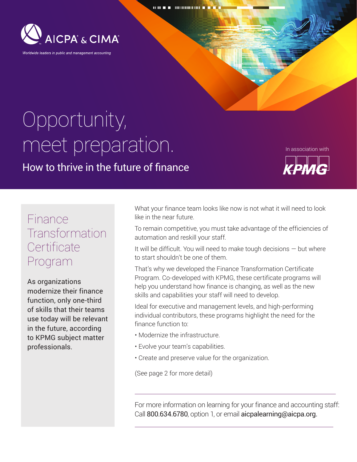

## Opportunity, meet preparation.

How to thrive in the future of finance

In association with



## Finance **Transformation Certificate** Program

As organizations modernize their finance function, only one-third of skills that their teams use today will be relevant in the future, according to KPMG subject matter professionals.

What your finance team looks like now is not what it will need to look like in the near future.

To remain competitive, you must take advantage of the efficiencies of automation and reskill your staff.

It will be difficult. You will need to make tough decisions — but where to start shouldn't be one of them.

That's why we developed the Finance Transformation Certificate Program. Co-developed with KPMG, these certificate programs will help you understand how finance is changing, as well as the new skills and capabilities your staff will need to develop.

Ideal for executive and management levels, and high-performing individual contributors, these programs highlight the need for the finance function to:

- Modernize the infrastructure.
- Evolve your team's capabilities.
- Create and preserve value for the organization.

(See page 2 for more detail)

For more information on learning for your finance and accounting staff: Call 800.634.6780, option 1, or email aicpalearning@aicpa.org.